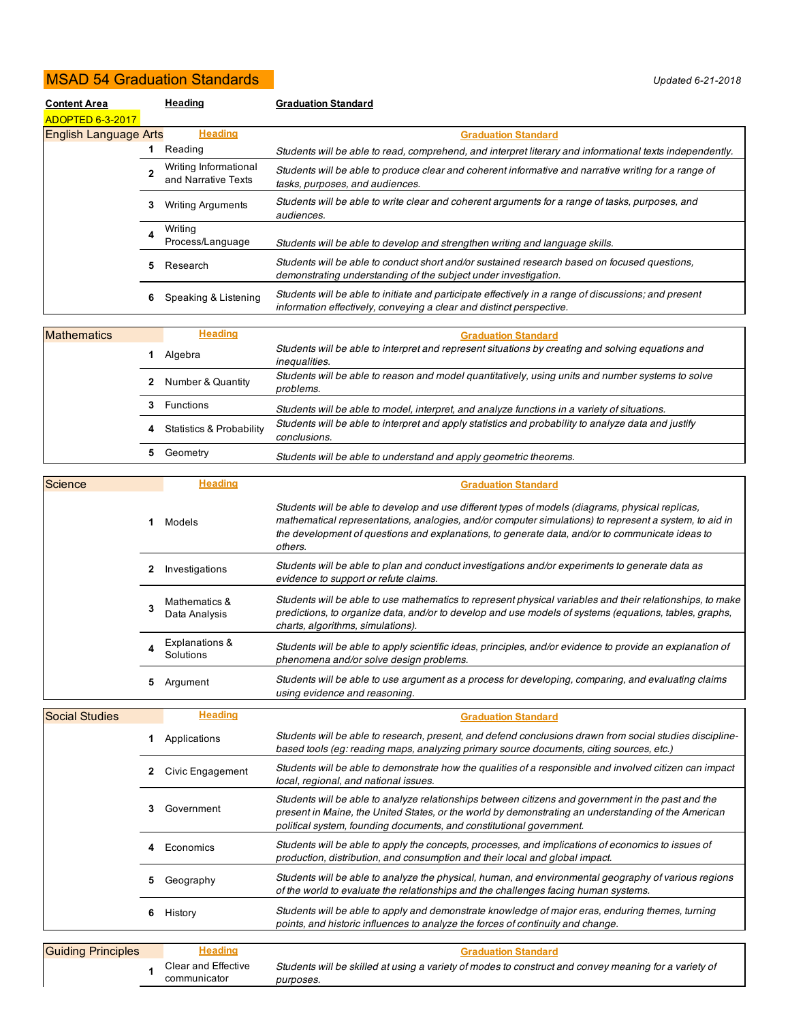## MSAD 54 Graduation Standards *Updated 6-21-2018*

| <b>Content Area</b>          | Heading |                                              | <b>Graduation Standard</b>                                                                                                                                                   |
|------------------------------|---------|----------------------------------------------|------------------------------------------------------------------------------------------------------------------------------------------------------------------------------|
| <b>ADOPTED 6-3-2017</b>      |         |                                              |                                                                                                                                                                              |
| <b>English Language Arts</b> |         | <b>Heading</b>                               | <b>Graduation Standard</b>                                                                                                                                                   |
|                              | 1       | Reading                                      | Students will be able to read, comprehend, and interpret literary and informational texts independently.                                                                     |
|                              | 2       | Writing Informational<br>and Narrative Texts | Students will be able to produce clear and coherent informative and narrative writing for a range of<br>tasks, purposes, and audiences.                                      |
|                              | 3       | <b>Writing Arguments</b>                     | Students will be able to write clear and coherent arguments for a range of tasks, purposes, and<br>audiences.                                                                |
|                              | Δ       | Writina<br>Process/Language                  | Students will be able to develop and strengthen writing and language skills.                                                                                                 |
|                              | 5       | Research                                     | Students will be able to conduct short and/or sustained research based on focused questions,<br>demonstrating understanding of the subject under investigation.              |
|                              | 6       | Speaking & Listening                         | Students will be able to initiate and participate effectively in a range of discussions; and present<br>information effectively, conveying a clear and distinct perspective. |
|                              |         |                                              |                                                                                                                                                                              |

| <b>Mathematics</b> |   | <b>Heading</b>                      | <b>Graduation Standard</b>                                                                                          |
|--------------------|---|-------------------------------------|---------------------------------------------------------------------------------------------------------------------|
|                    |   | Algebra                             | Students will be able to interpret and represent situations by creating and solving equations and<br>inequalities.  |
|                    |   | Number & Quantity                   | Students will be able to reason and model quantitatively, using units and number systems to solve<br>problems.      |
|                    |   | Functions                           | Students will be able to model, interpret, and analyze functions in a variety of situations.                        |
|                    | 4 | <b>Statistics &amp; Probability</b> | Students will be able to interpret and apply statistics and probability to analyze data and justify<br>conclusions. |
|                    | 5 | Geometry                            | Students will be able to understand and apply geometric theorems.                                                   |

| Science                   |    | <b>Heading</b>                      | <b>Graduation Standard</b>                                                                                                                                                                                                                                                                                               |
|---------------------------|----|-------------------------------------|--------------------------------------------------------------------------------------------------------------------------------------------------------------------------------------------------------------------------------------------------------------------------------------------------------------------------|
|                           | 1. | Models                              | Students will be able to develop and use different types of models (diagrams, physical replicas,<br>mathematical representations, analogies, and/or computer simulations) to represent a system, to aid in<br>the development of questions and explanations, to generate data, and/or to communicate ideas to<br>others. |
|                           | 2  | Investigations                      | Students will be able to plan and conduct investigations and/or experiments to generate data as<br>evidence to support or refute claims.                                                                                                                                                                                 |
|                           | 3  | Mathematics &<br>Data Analysis      | Students will be able to use mathematics to represent physical variables and their relationships, to make<br>predictions, to organize data, and/or to develop and use models of systems (equations, tables, graphs,<br>charts, algorithms, simulations).                                                                 |
|                           | 4  | Explanations &<br>Solutions         | Students will be able to apply scientific ideas, principles, and/or evidence to provide an explanation of<br>phenomena and/or solve design problems.                                                                                                                                                                     |
|                           | 5  | Argument                            | Students will be able to use argument as a process for developing, comparing, and evaluating claims<br>using evidence and reasoning.                                                                                                                                                                                     |
| <b>Social Studies</b>     |    | <b>Heading</b>                      | <b>Graduation Standard</b>                                                                                                                                                                                                                                                                                               |
|                           | 1  | Applications                        | Students will be able to research, present, and defend conclusions drawn from social studies discipline-<br>based tools (eg: reading maps, analyzing primary source documents, citing sources, etc.)                                                                                                                     |
|                           |    | Civic Engagement                    | Students will be able to demonstrate how the qualities of a responsible and involved citizen can impact<br>local, regional, and national issues.                                                                                                                                                                         |
|                           | 3  | Government                          | Students will be able to analyze relationships between citizens and government in the past and the<br>present in Maine, the United States, or the world by demonstrating an understanding of the American<br>political system, founding documents, and constitutional government.                                        |
|                           |    | Economics                           | Students will be able to apply the concepts, processes, and implications of economics to issues of<br>production, distribution, and consumption and their local and global impact.                                                                                                                                       |
|                           |    | Geography                           | Students will be able to analyze the physical, human, and environmental geography of various regions<br>of the world to evaluate the relationships and the challenges facing human systems.                                                                                                                              |
|                           | 6  | History                             | Students will be able to apply and demonstrate knowledge of major eras, enduring themes, turning<br>points, and historic influences to analyze the forces of continuity and change.                                                                                                                                      |
| <b>Guiding Principles</b> |    | <b>Heading</b>                      | <b>Graduation Standard</b>                                                                                                                                                                                                                                                                                               |
|                           | 1  | Clear and Effective<br>communicator | Students will be skilled at using a variety of modes to construct and convey meaning for a variety of<br>purposes.                                                                                                                                                                                                       |

*purposes.*